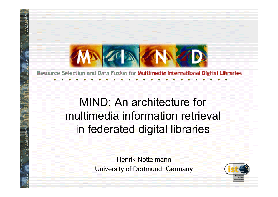

Resource Selection and Data Fusion for Multimedia International Digital Libraries

### MIND: An architecture for multimedia information retrieval in federated digital libraries

Henrik NottelmannUniversity of Dortmund, Germany

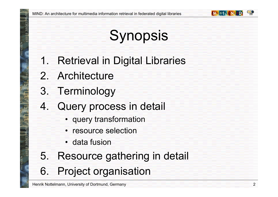

# **Synopsis**

- 1. Retrieval in Digital Libraries
- 2. Architecture
- 3. Terminology
- 4. Query process in detail
	- query transformation
	- resource selection
	- data fusion
- 5. Resource gathering in detail 6. Project organisation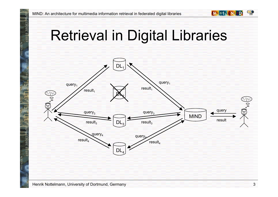### Retrieval in Digital Libraries



8912.380835

48912.380835

g

06674

912)

000.74

**MAZOA AN**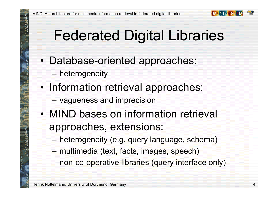## Federated Digital Libraries

- • Database-oriented approaches:
	- heterogeneity
- •• Information retrieval approaches:
	- vagueness and imprecision
- •• MIND bases on information retrieval approaches, extensions:
	- heterogeneity (e.g. query language, schema)
	- multimedia (text, facts, images, speech)
	- –non-co-operative libraries (query interface only)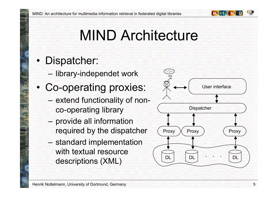

## MIND Architecture

#### •Dispatcher:

- library-independet work
- • Co-operating proxies:
	- extend functionality of nonco-operating library
	- provide all information required by the dispatcher
	- standard implementation with textual resource descriptions (XML)

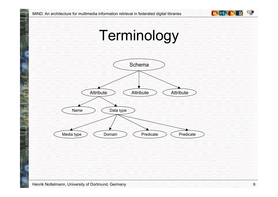



48912.380835.9

199660

 $65$ 

48912.380835

5660

0122-4066.74

0122-4066.74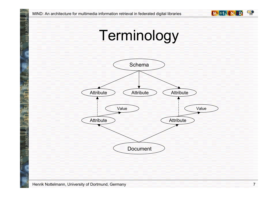





48912.380835.9

199660

48912.380835

660

0122-4066.74

0122-4066.74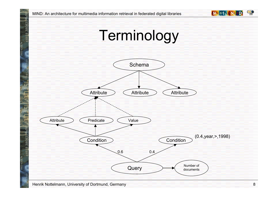



48912.380835.94

199660

.<br>آه

48912.380835.9

5660

0122-4066.74

0122-4066.74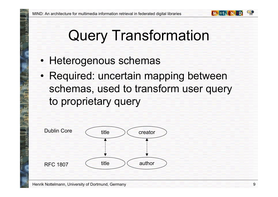

- •• Heterogenous schemas
- •• Required: uncertain mapping between schemas, used to transform user query to proprietary query

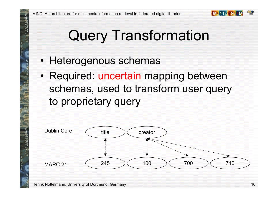

- •• Heterogenous schemas
- •• Required: uncertain mapping between schemas, used to transform user query to proprietary query

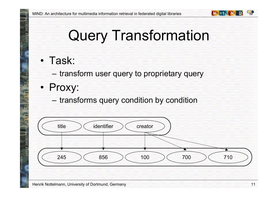

• Task:

8912.38083

S.

000.74

06634

- transform user query to proprietary query
- •• Proxy:
	- transforms query condition by condition

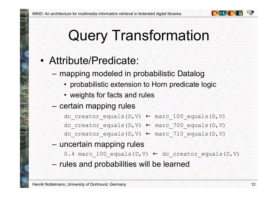

#### •Attribute/Predicate:

- mapping modeled in probabilistic Datalog
	- probabilistic extension to Horn predicate logic
	- weights for facts and rules
- certain mapping rules

dc\_creator\_equals(D,V) ← marc\_100\_equals(D,V)

dc\_creator\_equals(D,V) ← marc\_700\_equals(D,V)

dc\_creator\_equals(D,V) ← marc\_710\_equals(D,V)

– uncertain mapping rules

 $0.4$  marc\_ $100$ \_equals(D,V)  $\leftarrow$  dc\_creator\_equals(D,V)

– rules and probabilities will be learned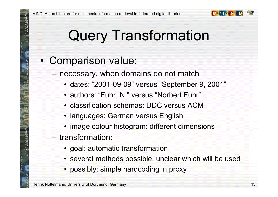

#### •• Comparison value:

- necessary, when domains do not match
	- dates: "2001-09-09" versus "September 9, 2001"
	- authors: "Fuhr, N." versus "Norbert Fuhr"
	- classification schemas: DDC versus ACM
	- languages: German versus English
	- image colour histogram: different dimensions
- $-$  transformation:
	- goal: automatic transformation
	- several methods possible, unclear which will be used
	- possibly: simple hardcoding in proxy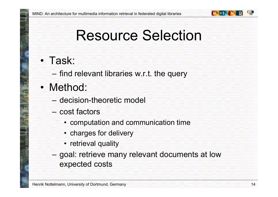

### • Task:

– find relevant libraries w.r.t. the query

•• Method:

- –decision-theoretic model
- cost factors
	- computation and communication time
	- charges for delivery
	- retrieval quality
- –– goal: retrieve many relevant documents at low expected costs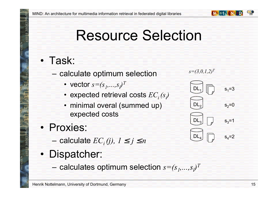

### • Task:

- calculate optimum selection
	- vector  $s{=} (s_1, ..., s_\ell)^T$
	- expected retrieval costs  $EC_i^-(s_i)$
	- minimal overal (summed up) expected costs
- •• Proxies:
	- $-$  calculate  $EC_{i}(j)$ ,  $1\leq j\leq n$
- •• Dispatcher:
	- $-$  calculates optimum selection  $s{=} (s_1, \ldots, s_l)^T$

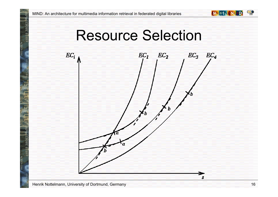



Henrik Nottelmann, University of Dortmund, Germany

18912.38083

S

48912.38083

g

4066.74

o<br>82

000.74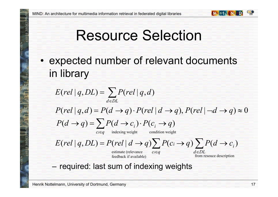

•• expected number of relevant documents in library

$$
E(\text{rel} | q, DL) = \sum_{d \in DL} P(\text{rel} | q, d)
$$
  
\n
$$
P(\text{rel} | q, d) = P(d \rightarrow q) \cdot P(\text{rel} | d \rightarrow q), P(\text{rel} | \neg d \rightarrow q) \approx 0
$$
  
\n
$$
P(d \rightarrow q) = \sum_{\text{cig} \text{ indexing weight}} P(c_i \rightarrow q)
$$

$$
E(\text{rel} | q, DL) = P(\text{rel} | d \rightarrow q) \sum P(c_i \rightarrow q) \sum P(d \rightarrow c_i)
$$

estimate (relevance feedback i f available)

*i*∈q a∈  $c_i \in \mathfrak{a}$  *d* $\in$ DL *q a*∈ from resouce description

– required: last sum of indexing weights

Henrik Nottelmann, University of Dortmund, Germany

8912.38083

12.38083

066.74

000.74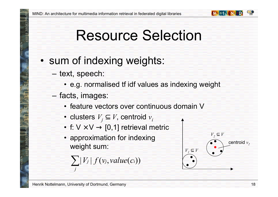

#### •• sum of indexing weights:

- text, speech:
	- e.g. normalised tf idf values as indexing weight
- facts, images:
	- feature vectors over continuous domain V
	- clusters *Vj* ⊆ *V*, centroid *vi*
	- f: V $\times$ V  $\rightarrow$  [0,1] retrieval metric
	- approximation for indexing weight sum:

$$
\sum |V_j| f(v_j, value(c_i))
$$



*j*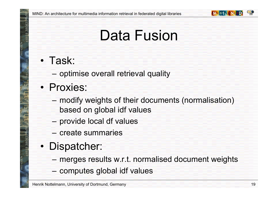

### Data Fusion

### • Task:

- optimise overall retrieval quality
- •• Proxies:
	- modify weights of their documents (normalisation) based on global idf values
	- provide local df values
	- –create summaries
- • Dispatcher:
	- merges results w.r.t. normalised document weights
	- computes global idf values

Henrik Nottelmann, University of Dortmund, Germany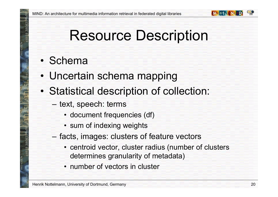

### Resource Description

- Schema
- •Uncertain schema mapping
- • Statistical description of collection:
	- text, speech: terms
		- document frequencies (df)
		- sum of indexing weights
	- facts, images: clusters of feature vectors
		- centroid vector, cluster radius (number of clusters determines granularity of metadata)
		- number of vectors in cluster

Henrik Nottelmann, University of Dortmund, Germany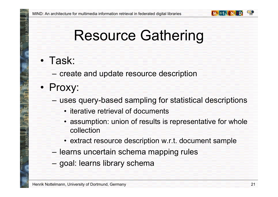

### Resource Gathering

#### • Task:

- create and update resource description
- •• Proxy:
	- uses query-based sampling for statistical descriptions
		- iterative retrieval of documents
		- assumption: union of results is representative for whole collection
		- extract resource description w.r.t. document sample
	- learns uncertain schema mapping rules
	- goal: learns library schema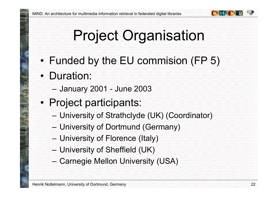

# Project Organisation

- •Funded by the EU commision (FP 5)
- •• Duration:
	- January 2001 June 2003
- •• Project participants:
	- University of Strathclyde (UK) (Coordinator)
	- University of Dortmund (Germany)
	- University of Florence (Italy)
	- University of Sheffield (UK)
	- Carnegie Mellon University (USA)